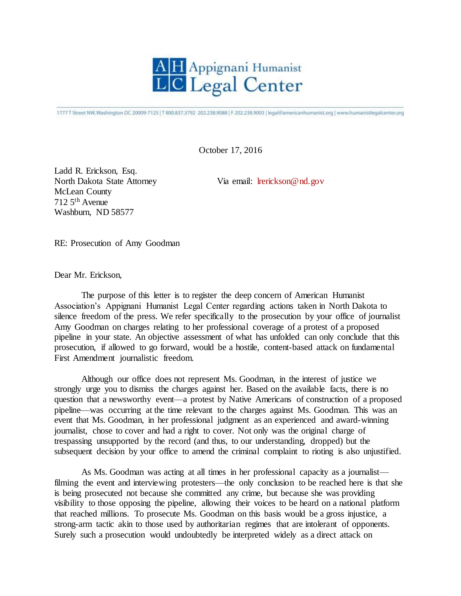

1777 T Street NW, Washington DC 20009-7125 | T 800.837.3792 202.238.9088 | F 202.238.9003 | legal@americanhumanist.org | www.humanistlegalcenter.org

October 17, 2016

Ladd R. Erickson, Esq. North Dakota State Attorney Via email: [lrerickson@nd.gov](mailto:lrerickson@nd.gov) McLean County 712 5th Avenue Washburn, ND 58577

RE: Prosecution of Amy Goodman

Dear Mr. Erickson,

The purpose of this letter is to register the deep concern of American Humanist Association's Appignani Humanist Legal Center regarding actions taken in North Dakota to silence freedom of the press. We refer specifically to the prosecution by your office of journalist Amy Goodman on charges relating to her professional coverage of a protest of a proposed pipeline in your state. An objective assessment of what has unfolded can only conclude that this prosecution, if allowed to go forward, would be a hostile, content-based attack on fundamental First Amendment journalistic freedom.

Although our office does not represent Ms. Goodman, in the interest of justice we strongly urge you to dismiss the charges against her. Based on the available facts, there is no question that a newsworthy event—a protest by Native Americans of construction of a proposed pipeline—was occurring at the time relevant to the charges against Ms. Goodman. This was an event that Ms. Goodman, in her professional judgment as an experienced and award-winning journalist, chose to cover and had a right to cover. Not only was the original charge of trespassing unsupported by the record (and thus, to our understanding, dropped) but the subsequent decision by your office to amend the criminal complaint to rioting is also unjustified.

As Ms. Goodman was acting at all times in her professional capacity as a journalist filming the event and interviewing protesters—the only conclusion to be reached here is that she is being prosecuted not because she committed any crime, but because she was providing visibility to those opposing the pipeline, allowing their voices to be heard on a national platform that reached millions. To prosecute Ms. Goodman on this basis would be a gross injustice, a strong-arm tactic akin to those used by authoritarian regimes that are intolerant of opponents. Surely such a prosecution would undoubtedly be interpreted widely as a direct attack on